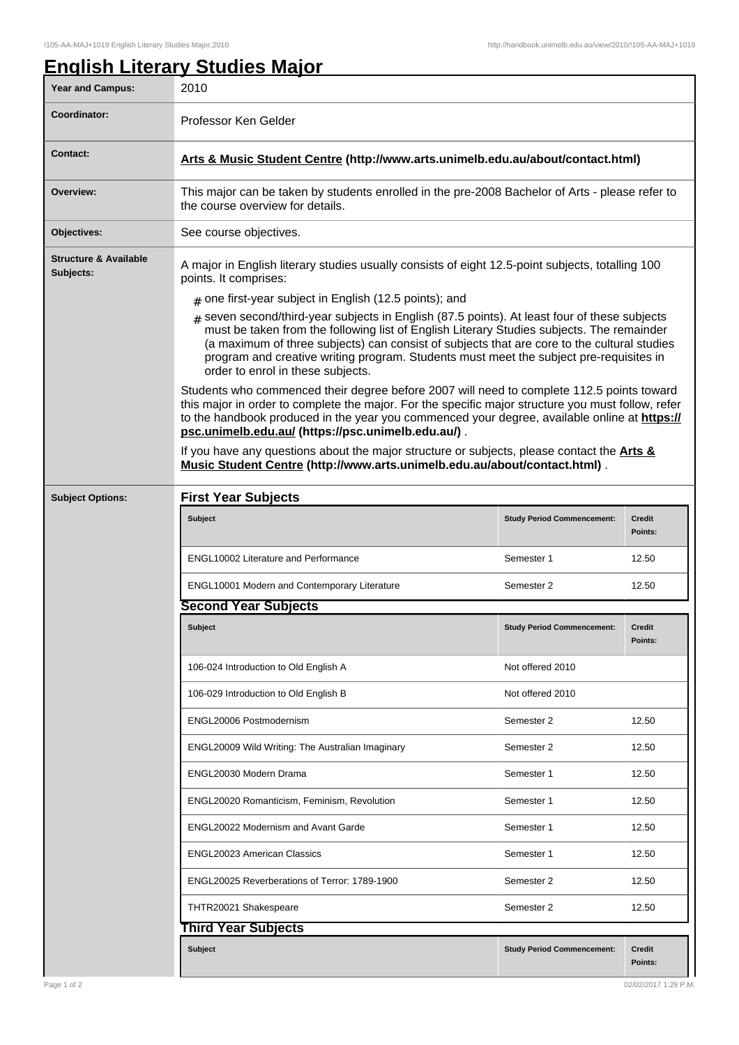## **English Literary Studies Major**

| <b>Year and Campus:</b>                       | 2010                                                                                                                                                                                                                                                                                                                                                                                                                      |                                   |                          |  |  |
|-----------------------------------------------|---------------------------------------------------------------------------------------------------------------------------------------------------------------------------------------------------------------------------------------------------------------------------------------------------------------------------------------------------------------------------------------------------------------------------|-----------------------------------|--------------------------|--|--|
| Coordinator:                                  | Professor Ken Gelder                                                                                                                                                                                                                                                                                                                                                                                                      |                                   |                          |  |  |
| <b>Contact:</b>                               | Arts & Music Student Centre (http://www.arts.unimelb.edu.au/about/contact.html)                                                                                                                                                                                                                                                                                                                                           |                                   |                          |  |  |
| Overview:                                     | This major can be taken by students enrolled in the pre-2008 Bachelor of Arts - please refer to<br>the course overview for details.                                                                                                                                                                                                                                                                                       |                                   |                          |  |  |
| Objectives:                                   | See course objectives.                                                                                                                                                                                                                                                                                                                                                                                                    |                                   |                          |  |  |
| <b>Structure &amp; Available</b><br>Subjects: | A major in English literary studies usually consists of eight 12.5-point subjects, totalling 100<br>points. It comprises:<br>$#$ one first-year subject in English (12.5 points); and                                                                                                                                                                                                                                     |                                   |                          |  |  |
|                                               |                                                                                                                                                                                                                                                                                                                                                                                                                           |                                   |                          |  |  |
|                                               | $*$ seven second/third-year subjects in English (87.5 points). At least four of these subjects<br>must be taken from the following list of English Literary Studies subjects. The remainder<br>(a maximum of three subjects) can consist of subjects that are core to the cultural studies<br>program and creative writing program. Students must meet the subject pre-requisites in<br>order to enrol in these subjects. |                                   |                          |  |  |
|                                               | Students who commenced their degree before 2007 will need to complete 112.5 points toward<br>this major in order to complete the major. For the specific major structure you must follow, refer<br>to the handbook produced in the year you commenced your degree, available online at https://<br>psc.unimelb.edu.au/ (https://psc.unimelb.edu.au/).                                                                     |                                   |                          |  |  |
|                                               | If you have any questions about the major structure or subjects, please contact the <b>Arts &amp;</b><br>Music Student Centre (http://www.arts.unimelb.edu.au/about/contact.html).                                                                                                                                                                                                                                        |                                   |                          |  |  |
| <b>Subject Options:</b>                       | <b>First Year Subjects</b>                                                                                                                                                                                                                                                                                                                                                                                                |                                   |                          |  |  |
|                                               | <b>Subject</b>                                                                                                                                                                                                                                                                                                                                                                                                            | <b>Study Period Commencement:</b> | <b>Credit</b><br>Points: |  |  |
|                                               | <b>ENGL10002 Literature and Performance</b>                                                                                                                                                                                                                                                                                                                                                                               | Semester 1                        | 12.50                    |  |  |
|                                               | ENGL10001 Modern and Contemporary Literature                                                                                                                                                                                                                                                                                                                                                                              | Semester 2                        | 12.50                    |  |  |
|                                               | <b>Second Year Subjects</b>                                                                                                                                                                                                                                                                                                                                                                                               |                                   |                          |  |  |
|                                               | <b>Subject</b>                                                                                                                                                                                                                                                                                                                                                                                                            | <b>Study Period Commencement:</b> | <b>Credit</b><br>Points: |  |  |
|                                               | 106-024 Introduction to Old English A                                                                                                                                                                                                                                                                                                                                                                                     | Not offered 2010                  |                          |  |  |
|                                               | 106-029 Introduction to Old English B                                                                                                                                                                                                                                                                                                                                                                                     | Not offered 2010                  |                          |  |  |
|                                               | ENGL20006 Postmodernism                                                                                                                                                                                                                                                                                                                                                                                                   | Semester 2                        | 12.50                    |  |  |
|                                               | ENGL20009 Wild Writing: The Australian Imaginary                                                                                                                                                                                                                                                                                                                                                                          | Semester 2                        | 12.50                    |  |  |
|                                               | ENGL20030 Modern Drama                                                                                                                                                                                                                                                                                                                                                                                                    | Semester 1                        | 12.50                    |  |  |
|                                               | ENGL20020 Romanticism, Feminism, Revolution                                                                                                                                                                                                                                                                                                                                                                               | Semester 1                        | 12.50                    |  |  |
|                                               | <b>ENGL20022 Modernism and Avant Garde</b>                                                                                                                                                                                                                                                                                                                                                                                | Semester 1                        | 12.50                    |  |  |
|                                               | ENGL20023 American Classics                                                                                                                                                                                                                                                                                                                                                                                               | Semester 1                        | 12.50                    |  |  |
|                                               | ENGL20025 Reverberations of Terror: 1789-1900                                                                                                                                                                                                                                                                                                                                                                             | Semester 2                        | 12.50                    |  |  |
|                                               | THTR20021 Shakespeare                                                                                                                                                                                                                                                                                                                                                                                                     | Semester 2                        | 12.50                    |  |  |
|                                               | <b>Third Year Subjects</b>                                                                                                                                                                                                                                                                                                                                                                                                |                                   |                          |  |  |
|                                               | <b>Subject</b>                                                                                                                                                                                                                                                                                                                                                                                                            | <b>Study Period Commencement:</b> | Credit<br>Points:        |  |  |